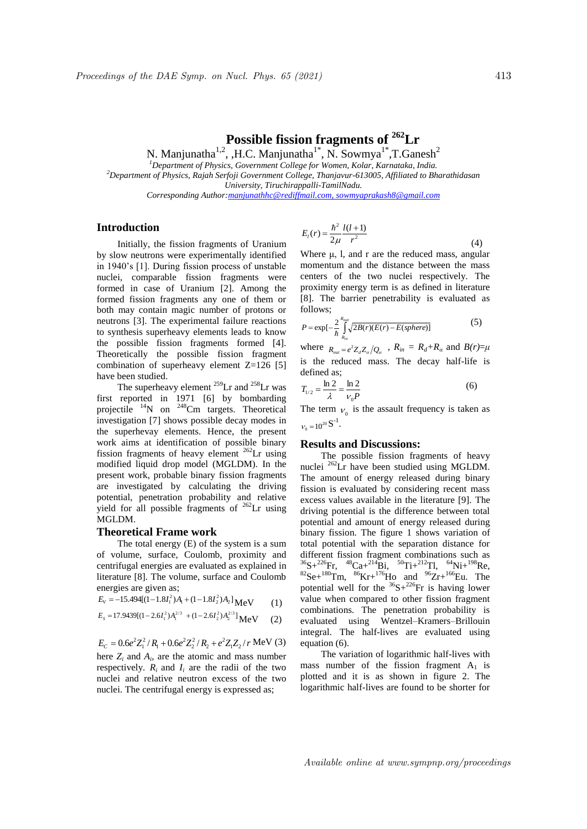# **Possible fission fragments of <sup>262</sup>Lr**

N. Manjunatha<sup>1,2</sup>, ,H.C. Manjunatha<sup>1\*</sup>, N. Sowmya<sup>1\*</sup>,T.Ganesh<sup>2</sup>

*<sup>1</sup>Department of Physics, Government College for Women, Kolar, Karnataka, India.*

*<sup>2</sup>Department of Physics, Rajah Serfoji Government College, Thanjavur-613005, Affiliated to Bharathidasan University, Tiruchirappalli-TamilNadu.* 

*Corresponding Author:manjunathhc@rediffmail.com, sowmyaprakash8@gmail.com*

## **Introduction**

Initially, the fission fragments of Uranium by slow neutrons were experimentally identified in 1940's [1]. During fission process of unstable nuclei, comparable fission fragments were formed in case of Uranium [2]. Among the formed fission fragments any one of them or both may contain magic number of protons or neutrons [3]. The experimental failure reactions to synthesis superheavy elements leads to know the possible fission fragments formed [4]. Theoretically the possible fission fragment combination of superheavy element Z=126 [5] have been studied.

The superheavy element  $^{259}$ Lr and  $^{258}$ Lr was first reported in 1971 [6] by bombarding projectile <sup>14</sup>N on <sup>248</sup>Cm targets. Theoretical investigation [7] shows possible decay modes in the superhevay elements. Hence, the present work aims at identification of possible binary fission fragments of heavy element  $262$ Lr using modified liquid drop model (MGLDM). In the present work, probable binary fission fragments are investigated by calculating the driving potential, penetration probability and relative yield for all possible fragments of  $^{262}$ Lr using MGLDM.

### **Theoretical Frame work**

The total energy (E) of the system is a sum of volume, surface, Coulomb, proximity and centrifugal energies are evaluated as explained in literature [8]. The volume, surface and Coulomb energies are given as;

$$
E_V = -15.494[(1 - 1.8I_1^2)A_1 + (1 - 1.8I_2^2)A_2] \text{MeV} \tag{1}
$$

$$
E_s = 17.9439[(1 - 2.6I_1^2)A_1^{2/3} + (1 - 2.6I_2^2)A_2^{2/3}] \text{MeV} \tag{2}
$$

$$
E_C = 0.6e^2 Z_1^2 / R_1 + 0.6e^2 Z_2^2 / R_2 + e^2 Z_1 Z_2 / r \text{ MeV (3)}
$$

here  $Z_i$  and  $A_i$ , are the atomic and mass number respectively.  $R_i$  and  $I_i$  are the radii of the two nuclei and relative neutron excess of the two nuclei. The centrifugal energy is expressed as;

$$
E_l(r) = \frac{\hbar^2}{2\mu} \frac{l(l+1)}{r^2}
$$
 (4)

Where μ, l, and r are the reduced mass, angular momentum and the distance between the mass centers of the two nuclei respectively. The proximity energy term is as defined in literature [8]. The barrier penetrability is evaluated as follows;

$$
P = \exp\left[-\frac{2}{\hbar} \int_{R_{in}}^{R_{out}} \sqrt{2B(r)(E(r) - E(sphere))}\right]
$$
(5)

where  $R_{out} = e^2 Z_d Z_\alpha / Q_\alpha$ ,  $R_{in} = R_d + R_\alpha$  and  $B(r) = \mu$ is the reduced mass. The decay half-life is defined as;

$$
T_{1/2} = \frac{\ln 2}{\lambda} = \frac{\ln 2}{v_0 P}
$$
 (6)

The term  $v_0$  is the assault frequency is taken as  $v_0 = 10^{20} S^{-1}$ .

#### **Results and Discussions:**

The possible fission fragments of heavy nuclei <sup>262</sup>Lr have been studied using MGLDM. The amount of energy released during binary fission is evaluated by considering recent mass excess values available in the literature [9]. The driving potential is the difference between total potential and amount of energy released during binary fission. The figure 1 shows variation of total potential with the separation distance for different fission fragment combinations such as  ${}^{36}S+{}^{226}Fr$ ,  ${}^{48}Ca+{}^{214}Bi$ ,  ${}^{50}Ti+{}^{212}TI$ ,  ${}^{64}Ni+{}^{198}Re$ ,  ${}^{82}$ Se+ ${}^{180}$ Tm,  ${}^{86}$ Kr+ ${}^{176}$ Ho and  ${}^{96}Z$ r+ ${}^{166}$ Eu. The potential well for the  ${}^{36}S+{}^{226}Fr$  is having lower value when compared to other fission fragment combinations. The penetration probability is evaluated using Wentzel–Kramers–Brillouin integral. The half-lives are evaluated using equation (6).

The variation of logarithmic half-lives with mass number of the fission fragment  $A_1$  is plotted and it is as shown in figure 2. The logarithmic half-lives are found to be shorter for